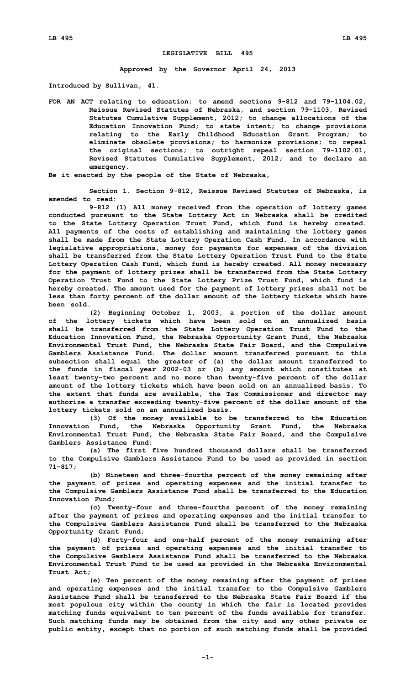## **LEGISLATIVE BILL 495**

## **Approved by the Governor April 24, 2013**

**Introduced by Sullivan, 41.**

**FOR AN ACT relating to education; to amend sections 9-812 and 79-1104.02, Reissue Revised Statutes of Nebraska, and section 79-1103, Revised Statutes Cumulative Supplement, 2012; to change allocations of the Education Innovation Fund; to state intent; to change provisions relating to the Early Childhood Education Grant Program; to eliminate obsolete provisions; to harmonize provisions; to repeal the original sections; to outright repeal section 79-1102.01, Revised Statutes Cumulative Supplement, 2012; and to declare an emergency.**

**Be it enacted by the people of the State of Nebraska,**

**Section 1. Section 9-812, Reissue Revised Statutes of Nebraska, is amended to read:**

**9-812 (1) All money received from the operation of lottery games conducted pursuant to the State Lottery Act in Nebraska shall be credited to the State Lottery Operation Trust Fund, which fund is hereby created. All payments of the costs of establishing and maintaining the lottery games shall be made from the State Lottery Operation Cash Fund. In accordance with legislative appropriations, money for payments for expenses of the division shall be transferred from the State Lottery Operation Trust Fund to the State Lottery Operation Cash Fund, which fund is hereby created. All money necessary for the payment of lottery prizes shall be transferred from the State Lottery Operation Trust Fund to the State Lottery Prize Trust Fund, which fund is hereby created. The amount used for the payment of lottery prizes shall not be less than forty percent of the dollar amount of the lottery tickets which have been sold.**

**(2) Beginning October 1, 2003, <sup>a</sup> portion of the dollar amount of the lottery tickets which have been sold on an annualized basis shall be transferred from the State Lottery Operation Trust Fund to the Education Innovation Fund, the Nebraska Opportunity Grant Fund, the Nebraska Environmental Trust Fund, the Nebraska State Fair Board, and the Compulsive Gamblers Assistance Fund. The dollar amount transferred pursuant to this subsection shall equal the greater of (a) the dollar amount transferred to the funds in fiscal year 2002-03 or (b) any amount which constitutes at least twenty-two percent and no more than twenty-five percent of the dollar amount of the lottery tickets which have been sold on an annualized basis. To the extent that funds are available, the Tax Commissioner and director may authorize <sup>a</sup> transfer exceeding twenty-five percent of the dollar amount of the lottery tickets sold on an annualized basis.**

**(3) Of the money available to be transferred to the Education Innovation Fund, the Nebraska Opportunity Grant Fund, the Nebraska Environmental Trust Fund, the Nebraska State Fair Board, and the Compulsive Gamblers Assistance Fund:**

**(a) The first five hundred thousand dollars shall be transferred to the Compulsive Gamblers Assistance Fund to be used as provided in section 71-817;**

**(b) Nineteen and three-fourths percent of the money remaining after the payment of prizes and operating expenses and the initial transfer to the Compulsive Gamblers Assistance Fund shall be transferred to the Education Innovation Fund;**

**(c) Twenty-four and three-fourths percent of the money remaining after the payment of prizes and operating expenses and the initial transfer to the Compulsive Gamblers Assistance Fund shall be transferred to the Nebraska Opportunity Grant Fund;**

**(d) Forty-four and one-half percent of the money remaining after the payment of prizes and operating expenses and the initial transfer to the Compulsive Gamblers Assistance Fund shall be transferred to the Nebraska Environmental Trust Fund to be used as provided in the Nebraska Environmental Trust Act;**

**(e) Ten percent of the money remaining after the payment of prizes and operating expenses and the initial transfer to the Compulsive Gamblers Assistance Fund shall be transferred to the Nebraska State Fair Board if the most populous city within the county in which the fair is located provides matching funds equivalent to ten percent of the funds available for transfer. Such matching funds may be obtained from the city and any other private or public entity, except that no portion of such matching funds shall be provided**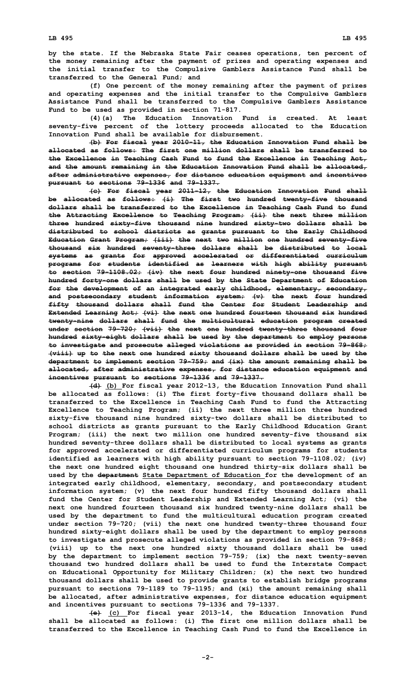**by the state. If the Nebraska State Fair ceases operations, ten percent of the money remaining after the payment of prizes and operating expenses and the initial transfer to the Compulsive Gamblers Assistance Fund shall be transferred to the General Fund; and**

**(f) One percent of the money remaining after the payment of prizes and operating expenses and the initial transfer to the Compulsive Gamblers Assistance Fund shall be transferred to the Compulsive Gamblers Assistance Fund to be used as provided in section 71-817.**

**(4)(a) The Education Innovation Fund is created. At least seventy-five percent of the lottery proceeds allocated to the Education Innovation Fund shall be available for disbursement.**

**(b) For fiscal year 2010-11, the Education Innovation Fund shall be allocated as follows: The first one million dollars shall be transferred to the Excellence in Teaching Cash Fund to fund the Excellence in Teaching Act, and the amount remaining in the Education Innovation Fund shall be allocated, after administrative expenses, for distance education equipment and incentives pursuant to sections 79-1336 and 79-1337.**

**(c) For fiscal year 2011-12, the Education Innovation Fund shall be allocated as follows: (i) The first two hundred twenty-five thousand dollars shall be transferred to the Excellence in Teaching Cash Fund to fund the Attracting Excellence to Teaching Program; (ii) the next three million three hundred sixty-five thousand nine hundred sixty-two dollars shall be distributed to school districts as grants pursuant to the Early Childhood Education Grant Program; (iii) the next two million one hundred seventy-five thousand six hundred seventy-three dollars shall be distributed to local systems as grants for approved accelerated or differentiated curriculum programs for students identified as learners with high ability pursuant to section 79-1108.02; (iv) the next four hundred ninety-one thousand five hundred forty-one dollars shall be used by the State Department of Education for the development of an integrated early childhood, elementary, secondary, and postsecondary student information system; (v) the next four hundred fifty thousand dollars shall fund the Center for Student Leadership and Extended Learning Act; (vi) the next one hundred fourteen thousand six hundred twenty-nine dollars shall fund the multicultural education program created under section 79-720; (vii) the next one hundred twenty-three thousand four hundred sixty-eight dollars shall be used by the department to employ persons to investigate and prosecute alleged violations as provided in section 79-868; (viii) up to the next one hundred sixty thousand dollars shall be used by the department to implement section 79-759; and (ix) the amount remaining shall be allocated, after administrative expenses, for distance education equipment and incentives pursuant to sections 79-1336 and 79-1337.**

**(d) (b) For fiscal year 2012-13, the Education Innovation Fund shall be allocated as follows: (i) The first forty-five thousand dollars shall be transferred to the Excellence in Teaching Cash Fund to fund the Attracting Excellence to Teaching Program; (ii) the next three million three hundred sixty-five thousand nine hundred sixty-two dollars shall be distributed to school districts as grants pursuant to the Early Childhood Education Grant Program; (iii) the next two million one hundred seventy-five thousand six hundred seventy-three dollars shall be distributed to local systems as grants for approved accelerated or differentiated curriculum programs for students identified as learners with high ability pursuant to section 79-1108.02; (iv) the next one hundred eight thousand one hundred thirty-six dollars shall be used by the department State Department of Education for the development of an integrated early childhood, elementary, secondary, and postsecondary student information system; (v) the next four hundred fifty thousand dollars shall fund the Center for Student Leadership and Extended Learning Act; (vi) the next one hundred fourteen thousand six hundred twenty-nine dollars shall be used by the department to fund the multicultural education program created under section 79-720; (vii) the next one hundred twenty-three thousand four hundred sixty-eight dollars shall be used by the department to employ persons to investigate and prosecute alleged violations as provided in section 79-868; (viii) up to the next one hundred sixty thousand dollars shall be used by the department to implement section 79-759; (ix) the next twenty-seven thousand two hundred dollars shall be used to fund the Interstate Compact on Educational Opportunity for Military Children; (x) the next two hundred thousand dollars shall be used to provide grants to establish bridge programs pursuant to sections 79-1189 to 79-1195; and (xi) the amount remaining shall be allocated, after administrative expenses, for distance education equipment and incentives pursuant to sections 79-1336 and 79-1337.**

**(e) (c) For fiscal year 2013-14, the Education Innovation Fund shall be allocated as follows: (i) The first one million dollars shall be transferred to the Excellence in Teaching Cash Fund to fund the Excellence in**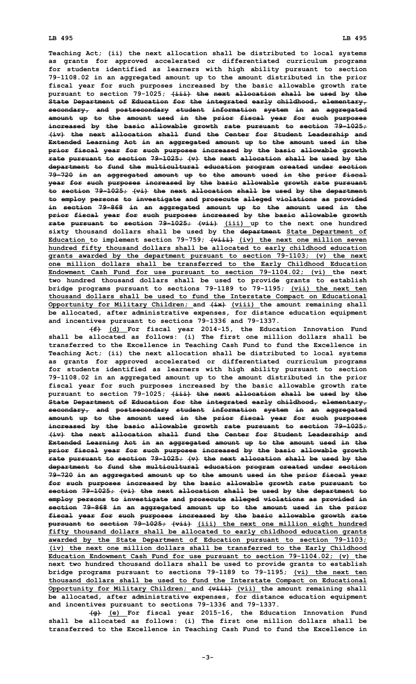**Teaching Act; (ii) the next allocation shall be distributed to local systems as grants for approved accelerated or differentiated curriculum programs for students identified as learners with high ability pursuant to section 79-1108.02 in an aggregated amount up to the amount distributed in the prior fiscal year for such purposes increased by the basic allowable growth rate pursuant to section 79-1025; (iii) the next allocation shall be used by the State Department of Education for the integrated early childhood, elementary, secondary, and postsecondary student information system in an aggregated amount up to the amount used in the prior fiscal year for such purposes increased by the basic allowable growth rate pursuant to section 79-1025; (iv) the next allocation shall fund the Center for Student Leadership and Extended Learning Act in an aggregated amount up to the amount used in the prior fiscal year for such purposes increased by the basic allowable growth rate pursuant to section 79-1025; (v) the next allocation shall be used by the department to fund the multicultural education program created under section 79-720 in an aggregated amount up to the amount used in the prior fiscal year for such purposes increased by the basic allowable growth rate pursuant to section 79-1025; (vi) the next allocation shall be used by the department to employ persons to investigate and prosecute alleged violations as provided in section 79-868 in an aggregated amount up to the amount used in the prior fiscal year for such purposes increased by the basic allowable growth rate pursuant to section 79-1025; (vii) (iii) up to the next one hundred sixty thousand dollars shall be used by the department State Department of Education to implement section 79-759; (viii) (iv) the next one million seven hundred fifty thousand dollars shall be allocated to early childhood education grants awarded by the department pursuant to section 79-1103; (v) the next one million dollars shall be transferred to the Early Childhood Education Endowment Cash Fund for use pursuant to section 79-1104.02; (vi) the next two hundred thousand dollars shall be used to provide grants to establish bridge programs pursuant to sections 79-1189 to 79-1195; (vii) the next ten thousand dollars shall be used to fund the Interstate Compact on Educational Opportunity for Military Children; and (ix) (viii) the amount remaining shall be allocated, after administrative expenses, for distance education equipment and incentives pursuant to sections 79-1336 and 79-1337.**

**(f) (d) For fiscal year 2014-15, the Education Innovation Fund shall be allocated as follows: (i) The first one million dollars shall be transferred to the Excellence in Teaching Cash Fund to fund the Excellence in Teaching Act; (ii) the next allocation shall be distributed to local systems as grants for approved accelerated or differentiated curriculum programs for students identified as learners with high ability pursuant to section 79-1108.02 in an aggregated amount up to the amount distributed in the prior fiscal year for such purposes increased by the basic allowable growth rate pursuant to section 79-1025; (iii) the next allocation shall be used by the State Department of Education for the integrated early childhood, elementary, secondary, and postsecondary student information system in an aggregated amount up to the amount used in the prior fiscal year for such purposes increased by the basic allowable growth rate pursuant to section 79-1025; (iv) the next allocation shall fund the Center for Student Leadership and Extended Learning Act in an aggregated amount up to the amount used in the prior fiscal year for such purposes increased by the basic allowable growth rate pursuant to section 79-1025; (v) the next allocation shall be used by the department to fund the multicultural education program created under section 79-720 in an aggregated amount up to the amount used in the prior fiscal year for such purposes increased by the basic allowable growth rate pursuant to section 79-1025; (vi) the next allocation shall be used by the department to employ persons to investigate and prosecute alleged violations as provided in section 79-868 in an aggregated amount up to the amount used in the prior fiscal year for such purposes increased by the basic allowable growth rate pursuant to section 79-1025; (vii) (iii) the next one million eight hundred fifty thousand dollars shall be allocated to early childhood education grants awarded by the State Department of Education pursuant to section 79-1103; (iv) the next one million dollars shall be transferred to the Early Childhood Education Endowment Cash Fund for use pursuant to section 79-1104.02; (v) the next two hundred thousand dollars shall be used to provide grants to establish bridge programs pursuant to sections 79-1189 to 79-1195; (vi) the next ten thousand dollars shall be used to fund the Interstate Compact on Educational Opportunity for Military Children; and (viii) (vii) the amount remaining shall be allocated, after administrative expenses, for distance education equipment and incentives pursuant to sections 79-1336 and 79-1337.**

**(g) (e) For fiscal year 2015-16, the Education Innovation Fund shall be allocated as follows: (i) The first one million dollars shall be transferred to the Excellence in Teaching Cash Fund to fund the Excellence in**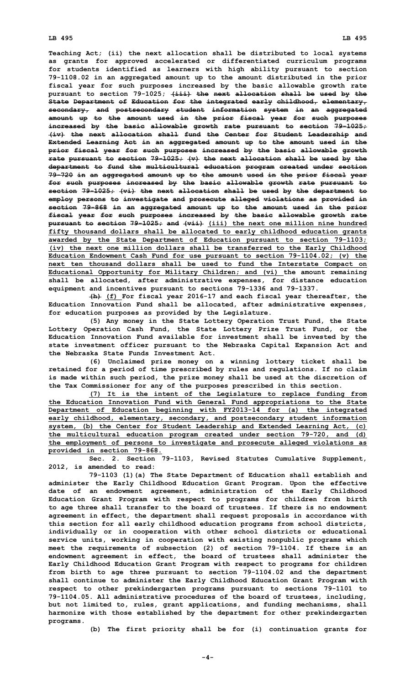**Teaching Act; (ii) the next allocation shall be distributed to local systems as grants for approved accelerated or differentiated curriculum programs for students identified as learners with high ability pursuant to section 79-1108.02 in an aggregated amount up to the amount distributed in the prior fiscal year for such purposes increased by the basic allowable growth rate pursuant to section 79-1025; (iii) the next allocation shall be used by the State Department of Education for the integrated early childhood, elementary, secondary, and postsecondary student information system in an aggregated amount up to the amount used in the prior fiscal year for such purposes increased by the basic allowable growth rate pursuant to section 79-1025; (iv) the next allocation shall fund the Center for Student Leadership and Extended Learning Act in an aggregated amount up to the amount used in the prior fiscal year for such purposes increased by the basic allowable growth rate pursuant to section 79-1025; (v) the next allocation shall be used by the department to fund the multicultural education program created under section 79-720 in an aggregated amount up to the amount used in the prior fiscal year for such purposes increased by the basic allowable growth rate pursuant to section 79-1025; (vi) the next allocation shall be used by the department to employ persons to investigate and prosecute alleged violations as provided in section 79-868 in an aggregated amount up to the amount used in the prior fiscal year for such purposes increased by the basic allowable growth rate pursuant to section 79-1025; and (vii) (iii) the next one million nine hundred fifty thousand dollars shall be allocated to early childhood education grants awarded by the State Department of Education pursuant to section 79-1103; (iv) the next one million dollars shall be transferred to the Early Childhood Education Endowment Cash Fund for use pursuant to section 79-1104.02; (v) the next ten thousand dollars shall be used to fund the Interstate Compact on Educational Opportunity for Military Children; and (vi) the amount remaining shall be allocated, after administrative expenses, for distance education equipment and incentives pursuant to sections 79-1336 and 79-1337.**

**(h) (f) For fiscal year 2016-17 and each fiscal year thereafter, the Education Innovation Fund shall be allocated, after administrative expenses, for education purposes as provided by the Legislature.**

**(5) Any money in the State Lottery Operation Trust Fund, the State Lottery Operation Cash Fund, the State Lottery Prize Trust Fund, or the Education Innovation Fund available for investment shall be invested by the state investment officer pursuant to the Nebraska Capital Expansion Act and the Nebraska State Funds Investment Act.**

**(6) Unclaimed prize money on <sup>a</sup> winning lottery ticket shall be retained for <sup>a</sup> period of time prescribed by rules and regulations. If no claim is made within such period, the prize money shall be used at the discretion of the Tax Commissioner for any of the purposes prescribed in this section.**

**(7) It is the intent of the Legislature to replace funding from the Education Innovation Fund with General Fund appropriations to the State Department of Education beginning with FY2013-14 for (a) the integrated early childhood, elementary, secondary, and postsecondary student information system, (b) the Center for Student Leadership and Extended Learning Act, (c) the multicultural education program created under section 79-720, and (d) the employment of persons to investigate and prosecute alleged violations as provided in section 79-868.**

**Sec. 2. Section 79-1103, Revised Statutes Cumulative Supplement, 2012, is amended to read:**

**79-1103 (1)(a) The State Department of Education shall establish and administer the Early Childhood Education Grant Program. Upon the effective date of an endowment agreement, administration of the Early Childhood Education Grant Program with respect to programs for children from birth to age three shall transfer to the board of trustees. If there is no endowment agreement in effect, the department shall request proposals in accordance with this section for all early childhood education programs from school districts, individually or in cooperation with other school districts or educational service units, working in cooperation with existing nonpublic programs which meet the requirements of subsection (2) of section 79-1104. If there is an endowment agreement in effect, the board of trustees shall administer the Early Childhood Education Grant Program with respect to programs for children from birth to age three pursuant to section 79-1104.02 and the department shall continue to administer the Early Childhood Education Grant Program with respect to other prekindergarten programs pursuant to sections 79-1101 to 79-1104.05. All administrative procedures of the board of trustees, including, but not limited to, rules, grant applications, and funding mechanisms, shall harmonize with those established by the department for other prekindergarten programs.**

**(b) The first priority shall be for (i) continuation grants for**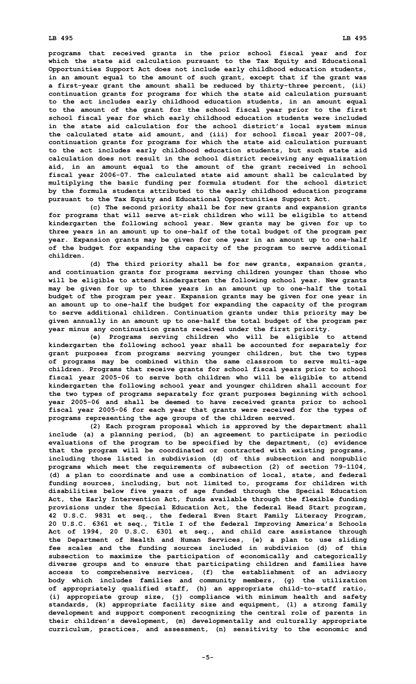## **LB 495 LB 495**

**programs that received grants in the prior school fiscal year and for which the state aid calculation pursuant to the Tax Equity and Educational Opportunities Support Act does not include early childhood education students, in an amount equal to the amount of such grant, except that if the grant was <sup>a</sup> first-year grant the amount shall be reduced by thirty-three percent, (ii) continuation grants for programs for which the state aid calculation pursuant to the act includes early childhood education students, in an amount equal to the amount of the grant for the school fiscal year prior to the first school fiscal year for which early childhood education students were included in the state aid calculation for the school district's local system minus the calculated state aid amount, and (iii) for school fiscal year 2007-08, continuation grants for programs for which the state aid calculation pursuant to the act includes early childhood education students, but such state aid calculation does not result in the school district receiving any equalization aid, in an amount equal to the amount of the grant received in school fiscal year 2006-07. The calculated state aid amount shall be calculated by multiplying the basic funding per formula student for the school district by the formula students attributed to the early childhood education programs pursuant to the Tax Equity and Educational Opportunities Support Act.**

**(c) The second priority shall be for new grants and expansion grants for programs that will serve at-risk children who will be eligible to attend kindergarten the following school year. New grants may be given for up to three years in an amount up to one-half of the total budget of the program per year. Expansion grants may be given for one year in an amount up to one-half of the budget for expanding the capacity of the program to serve additional children.**

**(d) The third priority shall be for new grants, expansion grants, and continuation grants for programs serving children younger than those who will be eligible to attend kindergarten the following school year. New grants may be given for up to three years in an amount up to one-half the total budget of the program per year. Expansion grants may be given for one year in an amount up to one-half the budget for expanding the capacity of the program to serve additional children. Continuation grants under this priority may be given annually in an amount up to one-half the total budget of the program per year minus any continuation grants received under the first priority.**

**(e) Programs serving children who will be eligible to attend kindergarten the following school year shall be accounted for separately for grant purposes from programs serving younger children, but the two types of programs may be combined within the same classroom to serve multi-age children. Programs that receive grants for school fiscal years prior to school fiscal year 2005-06 to serve both children who will be eligible to attend kindergarten the following school year and younger children shall account for the two types of programs separately for grant purposes beginning with school year 2005-06 and shall be deemed to have received grants prior to school fiscal year 2005-06 for each year that grants were received for the types of programs representing the age groups of the children served.**

**(2) Each program proposal which is approved by the department shall include (a) <sup>a</sup> planning period, (b) an agreement to participate in periodic evaluations of the program to be specified by the department, (c) evidence that the program will be coordinated or contracted with existing programs, including those listed in subdivision (d) of this subsection and nonpublic programs which meet the requirements of subsection (2) of section 79-1104, (d) <sup>a</sup> plan to coordinate and use <sup>a</sup> combination of local, state, and federal funding sources, including, but not limited to, programs for children with disabilities below five years of age funded through the Special Education Act, the Early Intervention Act, funds available through the flexible funding provisions under the Special Education Act, the federal Head Start program, 42 U.S.C. 9831 et seq., the federal Even Start Family Literacy Program, 20 U.S.C. 6361 et seq., Title <sup>I</sup> of the federal Improving America's Schools Act of 1994, 20 U.S.C. 6301 et seq., and child care assistance through the Department of Health and Human Services, (e) <sup>a</sup> plan to use sliding fee scales and the funding sources included in subdivision (d) of this subsection to maximize the participation of economically and categorically diverse groups and to ensure that participating children and families have access to comprehensive services, (f) the establishment of an advisory body which includes families and community members, (g) the utilization of appropriately qualified staff, (h) an appropriate child-to-staff ratio, (i) appropriate group size, (j) compliance with minimum health and safety standards, (k) appropriate facility size and equipment, (l) <sup>a</sup> strong family development and support component recognizing the central role of parents in their children's development, (m) developmentally and culturally appropriate curriculum, practices, and assessment, (n) sensitivity to the economic and**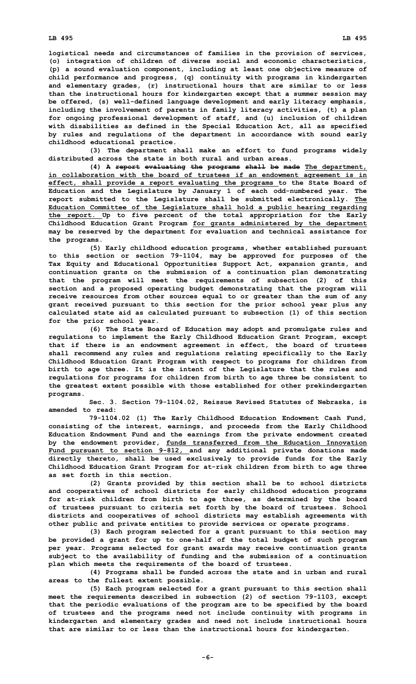**logistical needs and circumstances of families in the provision of services, (o) integration of children of diverse social and economic characteristics, (p) <sup>a</sup> sound evaluation component, including at least one objective measure of child performance and progress, (q) continuity with programs in kindergarten and elementary grades, (r) instructional hours that are similar to or less than the instructional hours for kindergarten except that <sup>a</sup> summer session may be offered, (s) well-defined language development and early literacy emphasis, including the involvement of parents in family literacy activities, (t) <sup>a</sup> plan for ongoing professional development of staff, and (u) inclusion of children with disabilities as defined in the Special Education Act, all as specified by rules and regulations of the department in accordance with sound early childhood educational practice.**

**(3) The department shall make an effort to fund programs widely distributed across the state in both rural and urban areas.**

**(4) <sup>A</sup> report evaluating the programs shall be made The department, in collaboration with the board of trustees if an endowment agreement is in effect, shall provide <sup>a</sup> report evaluating the programs to the State Board of Education and the Legislature by January 1 of each odd-numbered year. The report submitted to the Legislature shall be submitted electronically. The Education Committee of the Legislature shall hold <sup>a</sup> public hearing regarding the report. Up to five percent of the total appropriation for the Early Childhood Education Grant Program for grants administered by the department may be reserved by the department for evaluation and technical assistance for the programs.**

**(5) Early childhood education programs, whether established pursuant to this section or section 79-1104, may be approved for purposes of the Tax Equity and Educational Opportunities Support Act, expansion grants, and continuation grants on the submission of <sup>a</sup> continuation plan demonstrating that the program will meet the requirements of subsection (2) of this section and <sup>a</sup> proposed operating budget demonstrating that the program will receive resources from other sources equal to or greater than the sum of any grant received pursuant to this section for the prior school year plus any calculated state aid as calculated pursuant to subsection (1) of this section for the prior school year.**

**(6) The State Board of Education may adopt and promulgate rules and regulations to implement the Early Childhood Education Grant Program, except that if there is an endowment agreement in effect, the board of trustees shall recommend any rules and regulations relating specifically to the Early Childhood Education Grant Program with respect to programs for children from birth to age three. It is the intent of the Legislature that the rules and regulations for programs for children from birth to age three be consistent to the greatest extent possible with those established for other prekindergarten programs.**

**Sec. 3. Section 79-1104.02, Reissue Revised Statutes of Nebraska, is amended to read:**

**79-1104.02 (1) The Early Childhood Education Endowment Cash Fund, consisting of the interest, earnings, and proceeds from the Early Childhood Education Endowment Fund and the earnings from the private endowment created by the endowment provider, funds transferred from the Education Innovation Fund pursuant to section 9-812, and any additional private donations made directly thereto, shall be used exclusively to provide funds for the Early Childhood Education Grant Program for at-risk children from birth to age three as set forth in this section.**

**(2) Grants provided by this section shall be to school districts and cooperatives of school districts for early childhood education programs for at-risk children from birth to age three, as determined by the board of trustees pursuant to criteria set forth by the board of trustees. School districts and cooperatives of school districts may establish agreements with other public and private entities to provide services or operate programs.**

**(3) Each program selected for <sup>a</sup> grant pursuant to this section may be provided <sup>a</sup> grant for up to one-half of the total budget of such program per year. Programs selected for grant awards may receive continuation grants subject to the availability of funding and the submission of <sup>a</sup> continuation plan which meets the requirements of the board of trustees.**

**(4) Programs shall be funded across the state and in urban and rural areas to the fullest extent possible.**

**(5) Each program selected for <sup>a</sup> grant pursuant to this section shall meet the requirements described in subsection (2) of section 79-1103, except that the periodic evaluations of the program are to be specified by the board of trustees and the programs need not include continuity with programs in kindergarten and elementary grades and need not include instructional hours that are similar to or less than the instructional hours for kindergarten.**